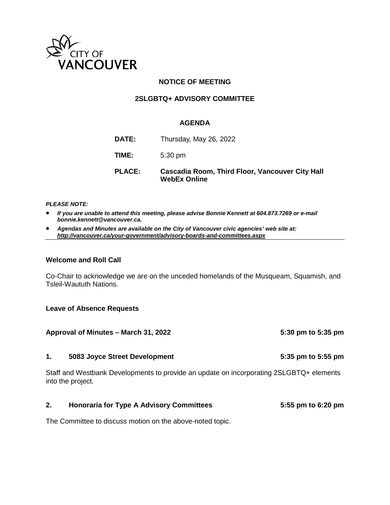

### **NOTICE OF MEETING**

#### **2SLGBTQ+ ADVISORY COMMITTEE**

#### **AGENDA**

| <b>PLACE:</b> | Cascadia Room, Third Floor, Vancouver City Hall<br><b>WebEx Online</b> |
|---------------|------------------------------------------------------------------------|
| TIME:         | $5:30$ pm                                                              |
| <b>DATE:</b>  | Thursday, May 26, 2022                                                 |

#### *PLEASE NOTE:*

- *If you are unable to attend this meeting, please advise Bonnie Kennett at 604.873.7269 or e-mail bonnie.kennett@vancouver.ca.*
- *Agendas and Minutes are available on the City of Vancouver civic agencies' web site at: <http://vancouver.ca/your-government/advisory-boards-and-committees.aspx>*

#### **Welcome and Roll Call**

Co-Chair to acknowledge we are on the unceded homelands of the Musqueam, Squamish, and Tsleil-Waututh Nations.

#### **Leave of Absence Requests**

|                | Approval of Minutes – March 31, 2022                                                                         | 5:30 pm to 5:35 pm |
|----------------|--------------------------------------------------------------------------------------------------------------|--------------------|
| $\mathbf{1}$ . | 5083 Joyce Street Development                                                                                | 5:35 pm to 5:55 pm |
|                | Staff and Westbank Developments to provide an update on incorporating 2SLGBTQ+ elements<br>into the project. |                    |
| 2.             | <b>Honoraria for Type A Advisory Committees</b>                                                              | 5:55 pm to 6:20 pm |

The Committee to discuss motion on the above-noted topic.